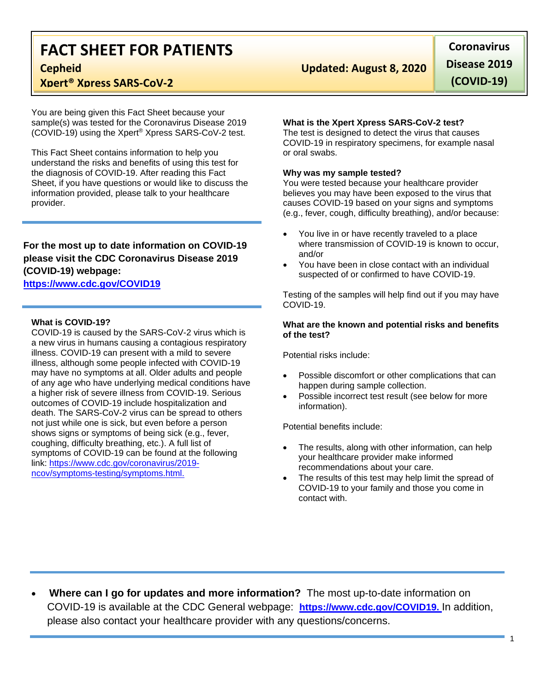# **FACT SHEET FOR PATIENTS**

## **Xpert® Xpress SARS-CoV-2**

You are being given this Fact Sheet because your sample(s) was tested for the Coronavirus Disease 2019 (COVID-19) using the Xpert® Xpress SARS-CoV-2 test.

This Fact Sheet contains information to help you understand the risks and benefits of using this test for the diagnosis of COVID-19. After reading this Fact Sheet, if you have questions or would like to discuss the information provided, please talk to your healthcare provider.

### **For the most up to date information on COVID-19 please visit the CDC Coronavirus Disease 2019 (COVID-19) webpage:**

### **[https://www.cdc.gov/COVID19](https://www.cdc.gov/nCoV)**

#### **What is COVID-19?**

COVID-19 is caused by the SARS-CoV-2 virus which is a new virus in humans causing a contagious respiratory illness. COVID-19 can present with a mild to severe illness, although some people infected with COVID-19 may have no symptoms at all. Older adults and people of any age who have underlying medical conditions have a higher risk of severe illness from COVID-19. Serious outcomes of COVID-19 include hospitalization and death. The SARS-CoV-2 virus can be spread to others not just while one is sick, but even before a person shows signs or symptoms of being sick (e.g., fever, coughing, difficulty breathing, etc.). A full list of symptoms of COVID-19 can be found at the following link: [https://www.cdc.gov/coronavirus/2019](https://www.cdc.gov/coronavirus/2019-ncov/symptoms-testing/symptoms.html) [ncov/symptoms-testing/symptoms.html.](https://www.cdc.gov/coronavirus/2019-ncov/symptoms-testing/symptoms.html)

# **Cepheid Updated: August 8, 2020**

**Coronavirus Disease 2019 (COVID-19)**

#### **What is the Xpert Xpress SARS-CoV-2 test?**

The test is designed to detect the virus that causes COVID-19 in respiratory specimens, for example nasal or oral swabs.

#### **Why was my sample tested?**

You were tested because your healthcare provider believes you may have been exposed to the virus that causes COVID-19 based on your signs and symptoms (e.g., fever, cough, difficulty breathing), and/or because:

- You live in or have recently traveled to a place where transmission of COVID-19 is known to occur. and/or
- You have been in close contact with an individual suspected of or confirmed to have COVID-19.

Testing of the samples will help find out if you may have COVID-19.

#### **What are the known and potential risks and benefits of the test?**

Potential risks include:

- Possible discomfort or other complications that can happen during sample collection.
- Possible incorrect test result (see below for more information).

Potential benefits include:

- The results, along with other information, can help your healthcare provider make informed recommendations about your care.
- The results of this test may help limit the spread of COVID-19 to your family and those you come in contact with.

• **Where can I go for updates and more information?** The most up-to-date information on COVID-19 is available at the CDC General webpage: **[https://www.cdc.gov/COVID19.](https://www.cdc.gov/nCoV)** In addition, please also contact your healthcare provider with any questions/concerns.